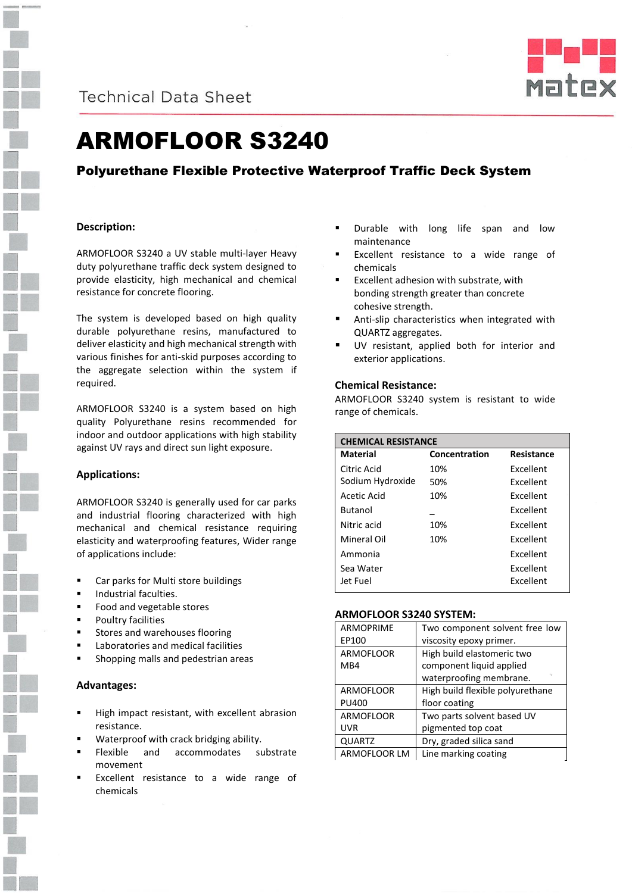

**Technical Data Sheet** 



# ARMOFLOOR S3240

# Polyurethane Flexible Protective Waterproof Traffic Deck System

# **Description:**

ARMOFLOOR S3240 a UV stable multi-layer Heavy duty polyurethane traffic deck system designed to provide elasticity, high mechanical and chemical resistance for concrete flooring.

The system is developed based on high quality durable polyurethane resins, manufactured to deliver elasticity and high mechanical strength with various finishes for anti-skid purposes according to the aggregate selection within the system if required.

ARMOFLOOR S3240 is a system based on high quality Polyurethane resins recommended for indoor and outdoor applications with high stability against UV rays and direct sun light exposure.

# **Applications:**

ARMOFLOOR S3240 is generally used for car parks and industrial flooring characterized with high mechanical and chemical resistance requiring elasticity and waterproofing features, Wider range of applications include:

- Car parks for Multi store buildings
- Industrial faculties.
- Food and vegetable stores
- Poultry facilities
- Stores and warehouses flooring
- Laboratories and medical facilities
- Shopping malls and pedestrian areas

# **Advantages:**

- High impact resistant, with excellent abrasion resistance.
- Waterproof with crack bridging ability.
- Flexible and accommodates substrate movement
- Excellent resistance to a wide range of chemicals
- **Durable with long life span and low** maintenance
- Excellent resistance to a wide range of chemicals
- Excellent adhesion with substrate, with bonding strength greater than concrete cohesive strength.
- Anti-slip characteristics when integrated with QUARTZ aggregates.
- UV resistant, applied both for interior and exterior applications.

## **Chemical Resistance:**

ARMOFLOOR S3240 system is resistant to wide range of chemicals.

| <b>CHEMICAL RESISTANCE</b> |               |                  |
|----------------------------|---------------|------------------|
| Material                   | Concentration | Resistance       |
| Citric Acid                | 10%           | <b>Fxcellent</b> |
| Sodium Hydroxide           | 50%           | <b>Excellent</b> |
| Acetic Acid                | 10%           | <b>Fxcellent</b> |
| <b>Butanol</b>             |               | Excellent        |
| Nitric acid                | 10%           | <b>Fxcellent</b> |
| Mineral Oil                | 10%           | Excellent        |
| Ammonia                    |               | <b>Fxcellent</b> |
| Sea Water                  |               | Excellent        |
| Jet Fuel                   |               | Excellent        |

#### **ARMOFLOOR S3240 SYSTEM:**

| <b>ARMOPRIME</b> | Two component solvent free low   |
|------------------|----------------------------------|
| EP100            | viscosity epoxy primer.          |
| <b>ARMOFLOOR</b> | High build elastomeric two       |
| M <sub>B</sub> 4 | component liquid applied         |
|                  | waterproofing membrane.          |
| <b>ARMOFLOOR</b> | High build flexible polyurethane |
| <b>PU400</b>     | floor coating                    |
| <b>ARMOFLOOR</b> | Two parts solvent based UV       |
| <b>UVR</b>       | pigmented top coat               |
| <b>QUARTZ</b>    | Dry, graded silica sand          |
| ARMOFLOOR LM     | Line marking coating             |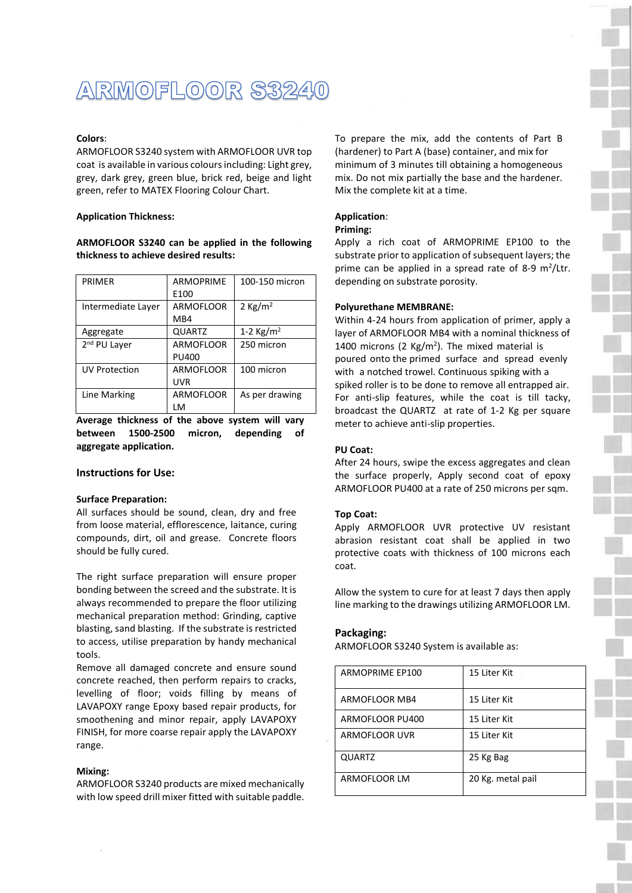# ARMOFLOOR S3240

### **Colors**:

ARMOFLOOR S3240 system with ARMOFLOOR UVR top coat is available in various colours including: Light grey, grey, dark grey, green blue, brick red, beige and light green, refer to MATEX Flooring Colour Chart.

#### **Application Thickness:**

## **ARMOFLOOR S3240 can be applied in the following thickness to achieve desired results:**

| <b>PRIMER</b><br>$\sim$  | <b>ARMOPRIME</b> | 100-150 micron        |
|--------------------------|------------------|-----------------------|
|                          | E100             |                       |
| Intermediate Layer       | <b>ARMOFLOOR</b> | 2 Kg/m <sup>2</sup>   |
|                          | MB4              |                       |
| Aggregate                | <b>QUARTZ</b>    | 1-2 Kg/m <sup>2</sup> |
| 2 <sup>nd</sup> PU Layer | <b>ARMOFLOOR</b> | 250 micron            |
|                          | PU400            |                       |
| UV Protection            | <b>ARMOFLOOR</b> | 100 micron            |
|                          | <b>UVR</b>       |                       |
| Line Marking             | <b>ARMOFLOOR</b> | As per drawing        |
|                          | LM               |                       |

**Average thickness of the above system will vary between 1500-2500 micron, depending of aggregate application.** 

#### **Instructions for Use:**

#### **Surface Preparation:**

All surfaces should be sound, clean, dry and free from loose material, efflorescence, laitance, curing compounds, dirt, oil and grease. Concrete floors should be fully cured.

The right surface preparation will ensure proper bonding between the screed and the substrate. It is always recommended to prepare the floor utilizing mechanical preparation method: Grinding, captive blasting, sand blasting. If the substrate is restricted to access, utilise preparation by handy mechanical tools.

Remove all damaged concrete and ensure sound concrete reached, then perform repairs to cracks, levelling of floor; voids filling by means of LAVAPOXY range Epoxy based repair products, for smoothening and minor repair, apply LAVAPOXY FINISH, for more coarse repair apply the LAVAPOXY range.

### **Mixing:**

ARMOFLOOR S3240 products are mixed mechanically with low speed drill mixer fitted with suitable paddle. To prepare the mix, add the contents of Part B (hardener) to Part A (base) container, and mix for minimum of 3 minutes till obtaining a homogeneous mix. Do not mix partially the base and the hardener. Mix the complete kit at a time.

#### **Application**:

#### **Priming:**

Apply a rich coat of ARMOPRIME EP100 to the substrate prior to application of subsequent layers; the prime can be applied in a spread rate of 8-9  $m^2$ /Ltr. depending on substrate porosity.

#### **Polyurethane MEMBRANE:**

Within 4-24 hours from application of primer, apply a layer of ARMOFLOOR MB4 with a nominal thickness of 1400 microns (2  $Kg/m<sup>2</sup>$ ). The mixed material is poured onto the primed surface and spread evenly with a notched trowel. Continuous spiking with a spiked roller is to be done to remove all entrapped air. For anti-slip features, while the coat is till tacky, broadcast the QUARTZ at rate of 1-2 Kg per square meter to achieve anti-slip properties.

## **PU Coat:**

After 24 hours, swipe the excess aggregates and clean the surface properly, Apply second coat of epoxy ARMOFLOOR PU400 at a rate of 250 microns per sqm.

#### **Top Coat:**

Apply ARMOFLOOR UVR protective UV resistant abrasion resistant coat shall be applied in two protective coats with thickness of 100 microns each coat.

Allow the system to cure for at least 7 days then apply line marking to the drawings utilizing ARMOFLOOR LM.

#### **Packaging:**

ARMOFLOOR S3240 System is available as:

| <b>ARMOPRIME EP100</b> | 15 Liter Kit      |
|------------------------|-------------------|
| ARMOFLOOR MB4          | 15 Liter Kit      |
| ARMOFLOOR PU400        | 15 Liter Kit      |
| ARMOFLOOR UVR          | 15 Liter Kit      |
| <b>QUARTZ</b>          | 25 Kg Bag         |
| ARMOFLOOR LM           | 20 Kg. metal pail |